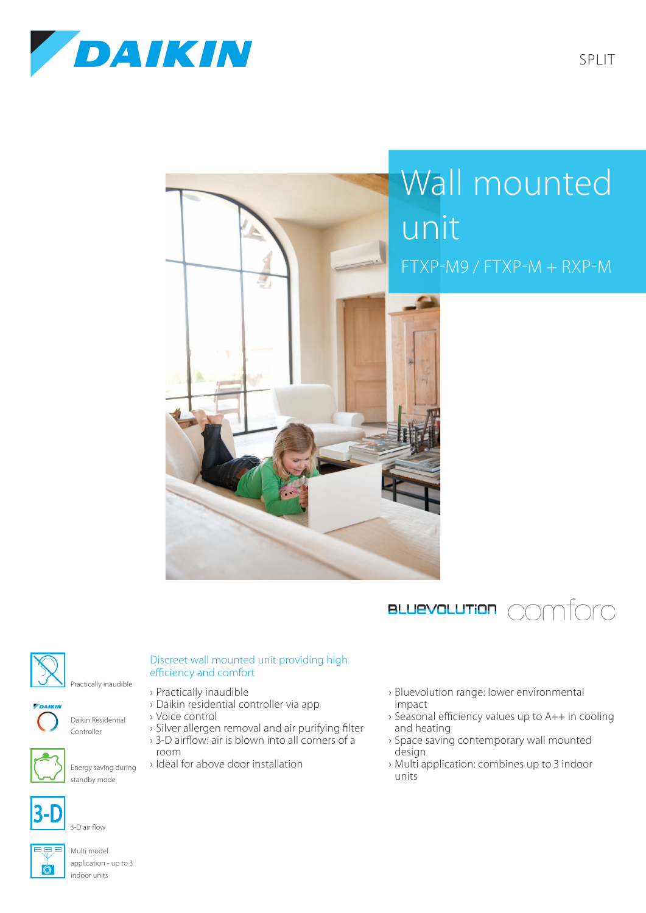



## Wall mounted unit FTXP-M9 / FTXP-M + RXP-M





## Discreet wall mounted unit providing high efficiency and comfort

› 3-D airflow: air is blown into all corners of a

- › Practically inaudible
- › Daikin residential controller via app

› Ideal for above door installation

Daikin Residential › Voice control › Silver allergen removal and air purifying filter

room



Energy saving during

Controller



3-D air flow



Multi model application - up to 3 indoor units

› Bluevolution range: lower environmental impact

- › Seasonal efficiency values up to A++ in cooling and heating
- › Space saving contemporary wall mounted design
- › Multi application: combines up to 3 indoor units